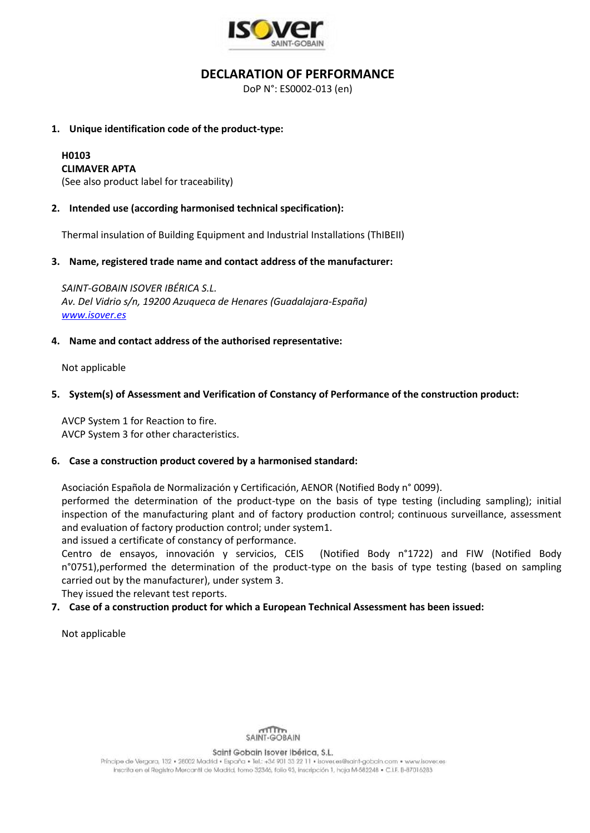

## **DECLARATION OF PERFORMANCE**

DoP N°: ES0002-013 (en)

#### **1. Unique identification code of the product-type:**

# **H0103**

**CLIMAVER APTA**

(See also product label for traceability)

### **2. Intended use (according harmonised technical specification):**

Thermal insulation of Building Equipment and Industrial Installations (ThIBEII)

#### **3. Name, registered trade name and contact address of the manufacturer:**

*SAINT-GOBAIN ISOVER IBÉRICA S.L. Av. Del Vidrio s/n, 19200 Azuqueca de Henares (Guadalajara-España) [www.isover.es](http://www.isover.es/)*

#### **4. Name and contact address of the authorised representative:**

Not applicable

#### **5. System(s) of Assessment and Verification of Constancy of Performance of the construction product:**

AVCP System 1 for Reaction to fire. AVCP System 3 for other characteristics.

#### **6. Case a construction product covered by a harmonised standard:**

Asociación Española de Normalización y Certificación, AENOR (Notified Body n° 0099).

performed the determination of the product-type on the basis of type testing (including sampling); initial inspection of the manufacturing plant and of factory production control; continuous surveillance, assessment and evaluation of factory production control; under system1.

and issued a certificate of constancy of performance.

Centro de ensayos, innovación y servicios, CEIS (Notified Body n°1722) and FIW (Notified Body n°0751),performed the determination of the product-type on the basis of type testing (based on sampling carried out by the manufacturer), under system 3.

They issued the relevant test reports.

### **7. Case of a construction product for which a European Technical Assessment has been issued:**

Not applicable



Saint Gobain Isover Ibérica, S.L.

Principe de Vergara, 132 · 28002 Madrid · España · Tel.: +34 901 33 22 11 · Isover.es@saint-gobain.com · www.isover.es Inscrita en el Registro Mercantil de Madrid, tomo 32346, folio 93, inscripción 1, hoja M-582248 · C.I.F. B-87016283